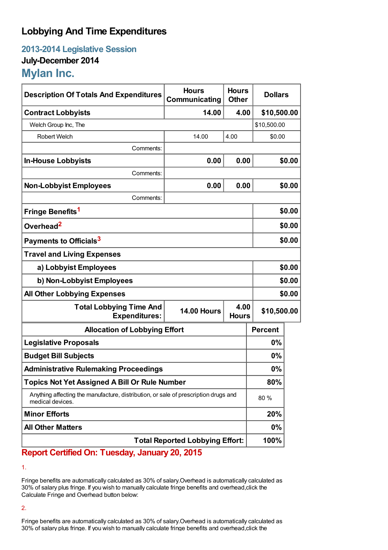## **Lobbying And Time Expenditures**

**2013-2014 Legislative Session July-December 2014 Mylan Inc.**

| <b>Description Of Totals And Expenditures</b>                                                           | <b>Hours</b><br>Communicating | <b>Hours</b><br><b>Other</b> | <b>Dollars</b> |             |  |
|---------------------------------------------------------------------------------------------------------|-------------------------------|------------------------------|----------------|-------------|--|
| <b>Contract Lobbyists</b>                                                                               | 14.00                         | 4.00                         | \$10,500.00    |             |  |
| Welch Group Inc, The                                                                                    |                               |                              |                | \$10,500.00 |  |
| Robert Welch                                                                                            | 14.00                         | 4.00                         | \$0.00         |             |  |
| Comments:                                                                                               |                               |                              |                |             |  |
| <b>In-House Lobbyists</b>                                                                               | 0.00                          | 0.00                         |                | \$0.00      |  |
| Comments:                                                                                               |                               |                              |                |             |  |
| <b>Non-Lobbyist Employees</b>                                                                           | 0.00                          | 0.00                         |                | \$0.00      |  |
| Comments:                                                                                               |                               |                              |                |             |  |
| Fringe Benefits <sup>1</sup>                                                                            |                               |                              |                | \$0.00      |  |
| Overhead <sup>2</sup>                                                                                   |                               |                              | \$0.00         |             |  |
| Payments to Officials <sup>3</sup>                                                                      |                               |                              | \$0.00         |             |  |
| <b>Travel and Living Expenses</b>                                                                       |                               |                              |                |             |  |
| a) Lobbyist Employees                                                                                   |                               |                              | \$0.00         |             |  |
| b) Non-Lobbyist Employees                                                                               |                               |                              | \$0.00         |             |  |
| <b>All Other Lobbying Expenses</b>                                                                      |                               |                              |                | \$0.00      |  |
| <b>Total Lobbying Time And</b><br><b>Expenditures:</b>                                                  | <b>14.00 Hours</b>            | 4.00<br><b>Hours</b>         | \$10,500.00    |             |  |
| <b>Allocation of Lobbying Effort</b>                                                                    |                               |                              | <b>Percent</b> |             |  |
| <b>Legislative Proposals</b>                                                                            |                               |                              | 0%             |             |  |
| <b>Budget Bill Subjects</b>                                                                             |                               |                              | $0\%$          |             |  |
| <b>Administrative Rulemaking Proceedings</b>                                                            |                               |                              | 0%             |             |  |
| <b>Topics Not Yet Assigned A Bill Or Rule Number</b>                                                    |                               |                              | 80%            |             |  |
| Anything affecting the manufacture, distribution, or sale of prescription drugs and<br>medical devices. |                               |                              | 80 %           |             |  |
| <b>Minor Efforts</b>                                                                                    |                               |                              | 20%            |             |  |
| <b>All Other Matters</b>                                                                                |                               |                              | 0%             |             |  |
| <b>Total Reported Lobbying Effort:</b>                                                                  |                               |                              | 100%           |             |  |

## **Report Certified On: Tuesday, January 20, 2015**

1.

Fringe benefits are automatically calculated as 30% of salary.Overhead is automatically calculated as 30% of salary plus fringe. If you wish to manually calculate fringe benefits and overhead,click the Calculate Fringe and Overhead button below:

2.

Fringe benefits are automatically calculated as 30% of salary.Overhead is automatically calculated as 30% of salary plus fringe. If you wish to manually calculate fringe benefits and overhead,click the